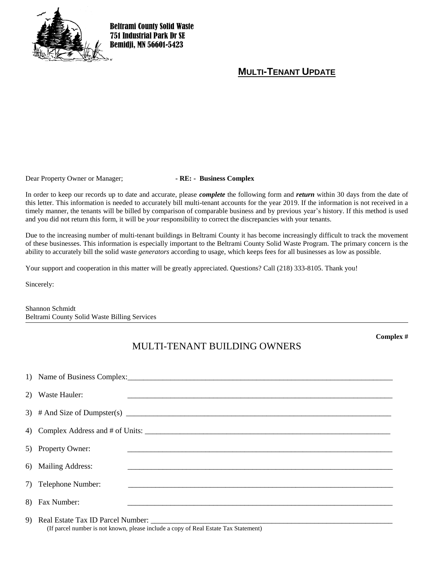

Beltrami County Solid Waste 751 Industrial Park Dr SE Bemidji, MN 56601-5423

## **MULTI-TENANT UPDATE**

Dear Property Owner or Manager;<br> **- RE:** - **Business Complex** 

In order to keep our records up to date and accurate, please *complete* the following form and *return* within 30 days from the date of this letter. This information is needed to accurately bill multi-tenant accounts for the year 2019. If the information is not received in a timely manner, the tenants will be billed by comparison of comparable business and by previous year's history. If this method is used and you did not return this form, it will be *your* responsibility to correct the discrepancies with your tenants.

Due to the increasing number of multi-tenant buildings in Beltrami County it has become increasingly difficult to track the movement of these businesses. This information is especially important to the Beltrami County Solid Waste Program. The primary concern is the ability to accurately bill the solid waste *generators* according to usage, which keeps fees for all businesses as low as possible.

Your support and cooperation in this matter will be greatly appreciated. Questions? Call (218) 333-8105. Thank you!

Sincerely:

Shannon Schmidt Beltrami County Solid Waste Billing Services

## MULTI-TENANT BUILDING OWNERS

1) Name of Business Complex:\_\_\_\_\_\_\_\_\_\_\_\_\_\_\_\_\_\_\_\_\_\_\_\_\_\_\_\_\_\_\_\_\_\_\_\_\_\_\_\_\_\_\_\_\_\_\_\_\_\_\_\_\_\_\_\_\_\_\_\_\_\_\_\_\_\_\_\_ 2) Waste Hauler: 3) # And Size of Dumpster(s) \_\_\_\_\_\_\_\_\_\_\_\_\_\_\_\_\_\_\_\_\_\_\_\_\_\_\_\_\_\_\_\_\_\_\_\_\_\_\_\_\_\_\_\_\_\_\_\_\_\_\_\_\_\_\_\_\_\_\_\_\_\_\_\_\_\_\_\_ 4) Complex Address and  $\#$  of Units: 5) Property Owner: 6) Mailing Address: 7) Telephone Number: 8) Fax Number: \_\_\_\_\_\_\_\_\_\_\_\_\_\_\_\_\_\_\_\_\_\_\_\_\_\_\_\_\_\_\_\_\_\_\_\_\_\_\_\_\_\_\_\_\_\_\_\_\_\_\_\_\_\_\_\_\_\_\_\_\_\_\_\_\_\_\_\_

9) Real Estate Tax ID Parcel Number: (If parcel number is not known, please include a copy of Real Estate Tax Statement) **Complex #**